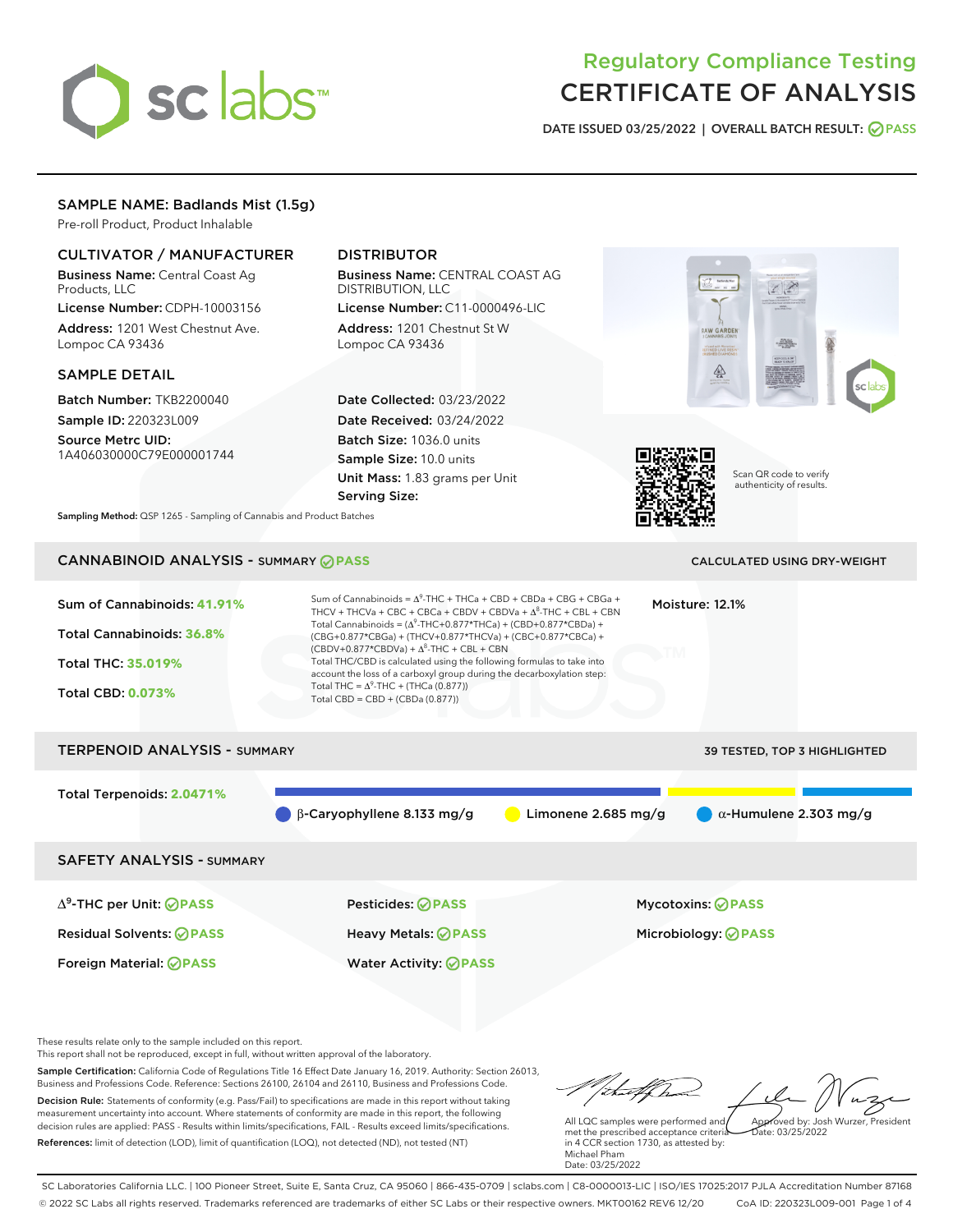# sclabs<sup>\*</sup>

# Regulatory Compliance Testing CERTIFICATE OF ANALYSIS

DATE ISSUED 03/25/2022 | OVERALL BATCH RESULT: @ PASS

# SAMPLE NAME: Badlands Mist (1.5g)

Pre-roll Product, Product Inhalable

# CULTIVATOR / MANUFACTURER

Business Name: Central Coast Ag Products, LLC

License Number: CDPH-10003156 Address: 1201 West Chestnut Ave. Lompoc CA 93436

### SAMPLE DETAIL

Batch Number: TKB2200040 Sample ID: 220323L009

Source Metrc UID: 1A406030000C79E000001744

# DISTRIBUTOR

Business Name: CENTRAL COAST AG DISTRIBUTION, LLC License Number: C11-0000496-LIC

Address: 1201 Chestnut St W Lompoc CA 93436

Date Collected: 03/23/2022 Date Received: 03/24/2022 Batch Size: 1036.0 units Sample Size: 10.0 units Unit Mass: 1.83 grams per Unit Serving Size:





Scan QR code to verify authenticity of results.

Sampling Method: QSP 1265 - Sampling of Cannabis and Product Batches

# CANNABINOID ANALYSIS - SUMMARY **PASS** CALCULATED USING DRY-WEIGHT

| Sum of Cannabinoids: 41.91%<br>Total Cannabinoids: 36.8%<br><b>Total THC: 35.019%</b><br><b>Total CBD: 0.073%</b> | Sum of Cannabinoids = $\Delta^9$ -THC + THCa + CBD + CBDa + CBG + CBGa +<br>THCV + THCVa + CBC + CBCa + CBDV + CBDVa + $\Delta^8$ -THC + CBL + CBN<br>Total Cannabinoids = $(\Delta^9$ -THC+0.877*THCa) + (CBD+0.877*CBDa) +<br>(CBG+0.877*CBGa) + (THCV+0.877*THCVa) + (CBC+0.877*CBCa) +<br>$(CBDV+0.877*CBDVa) + \Delta^8$ -THC + CBL + CBN<br>Total THC/CBD is calculated using the following formulas to take into<br>account the loss of a carboxyl group during the decarboxylation step:<br>Total THC = $\Delta^9$ -THC + (THCa (0.877))<br>Total CBD = $CBD + (CBDa (0.877))$ | Moisture: 12.1%     |                               |  |
|-------------------------------------------------------------------------------------------------------------------|----------------------------------------------------------------------------------------------------------------------------------------------------------------------------------------------------------------------------------------------------------------------------------------------------------------------------------------------------------------------------------------------------------------------------------------------------------------------------------------------------------------------------------------------------------------------------------------|---------------------|-------------------------------|--|
| <b>TERPENOID ANALYSIS - SUMMARY</b>                                                                               |                                                                                                                                                                                                                                                                                                                                                                                                                                                                                                                                                                                        |                     | 39 TESTED, TOP 3 HIGHLIGHTED  |  |
| Total Terpenoids: 2.0471%                                                                                         |                                                                                                                                                                                                                                                                                                                                                                                                                                                                                                                                                                                        |                     |                               |  |
|                                                                                                                   | $\beta$ -Caryophyllene 8.133 mg/g                                                                                                                                                                                                                                                                                                                                                                                                                                                                                                                                                      | Limonene 2.685 mg/g | $\alpha$ -Humulene 2.303 mg/g |  |
| <b>SAFETY ANALYSIS - SUMMARY</b>                                                                                  |                                                                                                                                                                                                                                                                                                                                                                                                                                                                                                                                                                                        |                     |                               |  |
| $\Delta^9$ -THC per Unit: $\bigotimes$ PASS                                                                       | Pesticides: ⊘PASS                                                                                                                                                                                                                                                                                                                                                                                                                                                                                                                                                                      |                     | Mycotoxins: ⊘PASS             |  |
| <b>Residual Solvents: ⊘PASS</b>                                                                                   | <b>Heavy Metals: ⊘PASS</b>                                                                                                                                                                                                                                                                                                                                                                                                                                                                                                                                                             |                     | Microbiology: @PASS           |  |

These results relate only to the sample included on this report.

This report shall not be reproduced, except in full, without written approval of the laboratory.

Sample Certification: California Code of Regulations Title 16 Effect Date January 16, 2019. Authority: Section 26013, Business and Professions Code. Reference: Sections 26100, 26104 and 26110, Business and Professions Code. Decision Rule: Statements of conformity (e.g. Pass/Fail) to specifications are made in this report without taking measurement uncertainty into account. Where statements of conformity are made in this report, the following decision rules are applied: PASS - Results within limits/specifications, FAIL - Results exceed limits/specifications.

Foreign Material: **PASS** Water Activity: **PASS**

References: limit of detection (LOD), limit of quantification (LOQ), not detected (ND), not tested (NT)

that flow Approved by: Josh Wurzer, President

 $ate: 03/25/2022$ 

All LQC samples were performed and met the prescribed acceptance criteria in 4 CCR section 1730, as attested by: Michael Pham Date: 03/25/2022

SC Laboratories California LLC. | 100 Pioneer Street, Suite E, Santa Cruz, CA 95060 | 866-435-0709 | sclabs.com | C8-0000013-LIC | ISO/IES 17025:2017 PJLA Accreditation Number 87168 © 2022 SC Labs all rights reserved. Trademarks referenced are trademarks of either SC Labs or their respective owners. MKT00162 REV6 12/20 CoA ID: 220323L009-001 Page 1 of 4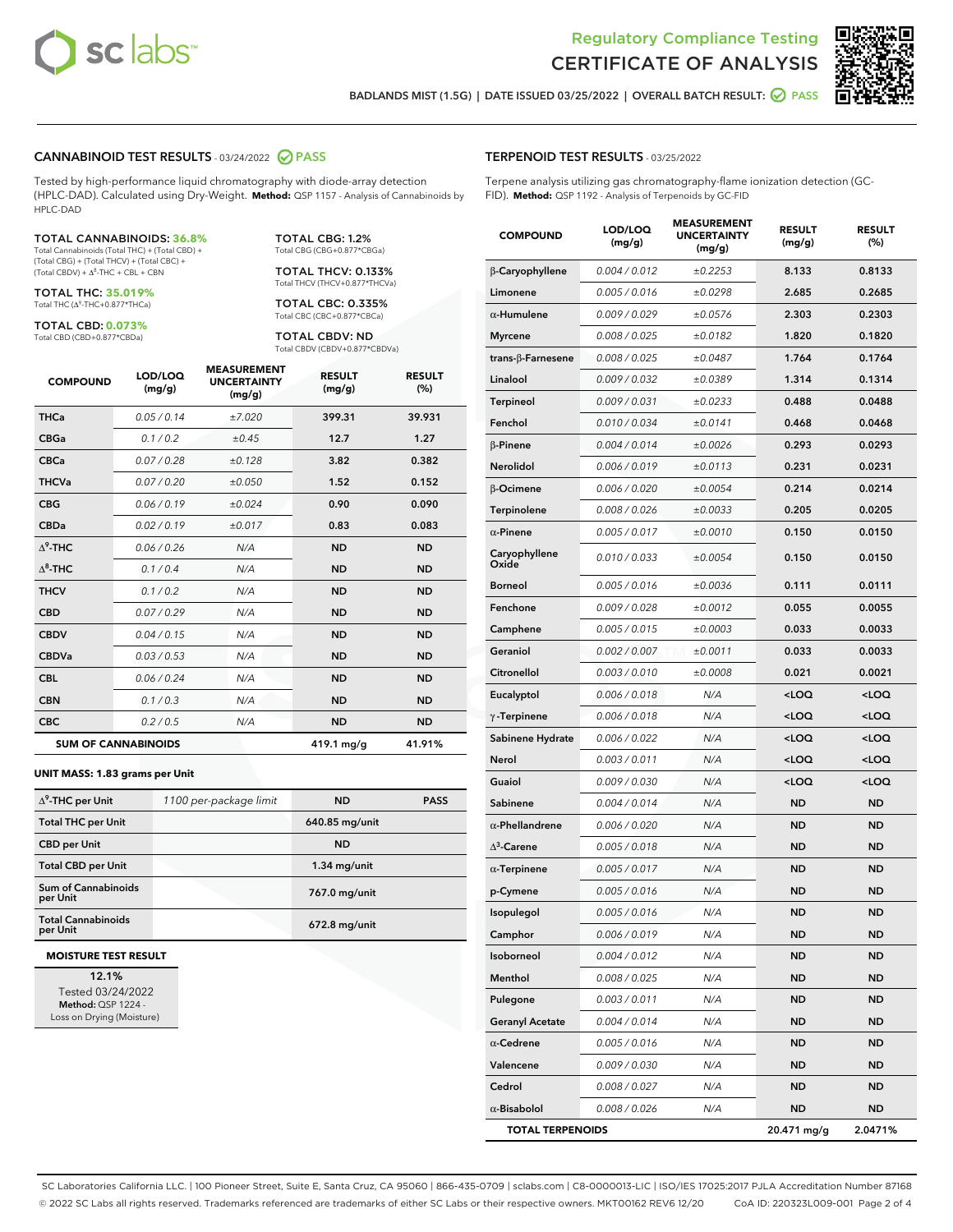



BADLANDS MIST (1.5G) | DATE ISSUED 03/25/2022 | OVERALL BATCH RESULT: **O PASS** 

#### CANNABINOID TEST RESULTS - 03/24/2022 2 PASS

Tested by high-performance liquid chromatography with diode-array detection (HPLC-DAD). Calculated using Dry-Weight. **Method:** QSP 1157 - Analysis of Cannabinoids by HPLC-DAD

#### TOTAL CANNABINOIDS: **36.8%**

Total Cannabinoids (Total THC) + (Total CBD) + (Total CBG) + (Total THCV) + (Total CBC) +  $(Total CBDV) +  $\Delta^8$ -THC + CBL + CBN$ 

TOTAL THC: **35.019%** Total THC (Δ<sup>9</sup>-THC+0.877\*THCa)

TOTAL CBD: **0.073%** Total CBD (CBD+0.877\*CBDa)

TOTAL CBG: 1.2% Total CBG (CBG+0.877\*CBGa)

TOTAL THCV: 0.133% Total THCV (THCV+0.877\*THCVa)

TOTAL CBC: 0.335% Total CBC (CBC+0.877\*CBCa)

TOTAL CBDV: ND Total CBDV (CBDV+0.877\*CBDVa)

| <b>COMPOUND</b>  | LOD/LOQ<br>(mg/g)          | <b>MEASUREMENT</b><br><b>UNCERTAINTY</b><br>(mg/g) | <b>RESULT</b><br>(mg/g) | <b>RESULT</b><br>(%) |
|------------------|----------------------------|----------------------------------------------------|-------------------------|----------------------|
| <b>THCa</b>      | 0.05 / 0.14                | ±7.020                                             | 399.31                  | 39.931               |
| <b>CBGa</b>      | 0.1 / 0.2                  | ±0.45                                              | 12.7                    | 1.27                 |
| <b>CBCa</b>      | 0.07/0.28                  | ±0.128                                             | 3.82                    | 0.382                |
| <b>THCVa</b>     | 0.07 / 0.20                | ±0.050                                             | 1.52                    | 0.152                |
| <b>CBG</b>       | 0.06/0.19                  | ±0.024                                             | 0.90                    | 0.090                |
| <b>CBDa</b>      | 0.02/0.19                  | ±0.017                                             | 0.83                    | 0.083                |
| $\Lambda^9$ -THC | 0.06 / 0.26                | N/A                                                | <b>ND</b>               | <b>ND</b>            |
| $\Lambda^8$ -THC | 0.1/0.4                    | N/A                                                | <b>ND</b>               | <b>ND</b>            |
| <b>THCV</b>      | 0.1 / 0.2                  | N/A                                                | <b>ND</b>               | <b>ND</b>            |
| <b>CBD</b>       | 0.07/0.29                  | N/A                                                | <b>ND</b>               | <b>ND</b>            |
| <b>CBDV</b>      | 0.04 / 0.15                | N/A                                                | <b>ND</b>               | <b>ND</b>            |
| <b>CBDVa</b>     | 0.03/0.53                  | N/A                                                | <b>ND</b>               | <b>ND</b>            |
| <b>CBL</b>       | 0.06 / 0.24                | N/A                                                | <b>ND</b>               | <b>ND</b>            |
| <b>CBN</b>       | 0.1 / 0.3                  | N/A                                                | <b>ND</b>               | <b>ND</b>            |
| <b>CBC</b>       | 0.2 / 0.5                  | N/A                                                | <b>ND</b>               | <b>ND</b>            |
|                  | <b>SUM OF CANNABINOIDS</b> |                                                    | 419.1 mg/g              | 41.91%               |

#### **UNIT MASS: 1.83 grams per Unit**

| $\Delta^9$ -THC per Unit              | 1100 per-package limit | <b>ND</b>      | <b>PASS</b> |
|---------------------------------------|------------------------|----------------|-------------|
| <b>Total THC per Unit</b>             |                        | 640.85 mg/unit |             |
| <b>CBD per Unit</b>                   |                        | <b>ND</b>      |             |
| <b>Total CBD per Unit</b>             |                        | $1.34$ mg/unit |             |
| Sum of Cannabinoids<br>per Unit       |                        | 767.0 mg/unit  |             |
| <b>Total Cannabinoids</b><br>per Unit |                        | 672.8 mg/unit  |             |

#### **MOISTURE TEST RESULT**

12.1% Tested 03/24/2022 Method: QSP 1224 - Loss on Drying (Moisture)

#### TERPENOID TEST RESULTS - 03/25/2022

Terpene analysis utilizing gas chromatography-flame ionization detection (GC-FID). **Method:** QSP 1192 - Analysis of Terpenoids by GC-FID

| <b>COMPOUND</b>           | LOD/LOQ<br>(mg/g) | <b>MEASUREMENT</b><br><b>UNCERTAINTY</b><br>(mg/g) | <b>RESULT</b><br>(mg/g)                         | <b>RESULT</b><br>$(\%)$ |
|---------------------------|-------------------|----------------------------------------------------|-------------------------------------------------|-------------------------|
| β-Caryophyllene           | 0.004 / 0.012     | ±0.2253                                            | 8.133                                           | 0.8133                  |
| Limonene                  | 0.005 / 0.016     | ±0.0298                                            | 2.685                                           | 0.2685                  |
| $\alpha$ -Humulene        | 0.009/0.029       | ±0.0576                                            | 2.303                                           | 0.2303                  |
| <b>Myrcene</b>            | 0.008 / 0.025     | ±0.0182                                            | 1.820                                           | 0.1820                  |
| trans- $\beta$ -Farnesene | 0.008 / 0.025     | ±0.0487                                            | 1.764                                           | 0.1764                  |
| Linalool                  | 0.009 / 0.032     | ±0.0389                                            | 1.314                                           | 0.1314                  |
| Terpineol                 | 0.009 / 0.031     | ±0.0233                                            | 0.488                                           | 0.0488                  |
| Fenchol                   | 0.010 / 0.034     | ±0.0141                                            | 0.468                                           | 0.0468                  |
| $\beta$ -Pinene           | 0.004 / 0.014     | ±0.0026                                            | 0.293                                           | 0.0293                  |
| Nerolidol                 | 0.006 / 0.019     | ±0.0113                                            | 0.231                                           | 0.0231                  |
| β-Ocimene                 | 0.006 / 0.020     | ±0.0054                                            | 0.214                                           | 0.0214                  |
| <b>Terpinolene</b>        | 0.008 / 0.026     | ±0.0033                                            | 0.205                                           | 0.0205                  |
| $\alpha$ -Pinene          | 0.005 / 0.017     | ±0.0010                                            | 0.150                                           | 0.0150                  |
| Caryophyllene<br>Oxide    | 0.010 / 0.033     | ±0.0054                                            | 0.150                                           | 0.0150                  |
| <b>Borneol</b>            | 0.005 / 0.016     | ±0.0036                                            | 0.111                                           | 0.0111                  |
| Fenchone                  | 0.009 / 0.028     | ±0.0012                                            | 0.055                                           | 0.0055                  |
| Camphene                  | 0.005 / 0.015     | ±0.0003                                            | 0.033                                           | 0.0033                  |
| Geraniol                  | 0.002 / 0.007     | ±0.0011                                            | 0.033                                           | 0.0033                  |
| Citronellol               | 0.003 / 0.010     | ±0.0008                                            | 0.021                                           | 0.0021                  |
| Eucalyptol                | 0.006 / 0.018     | N/A                                                | <loq< th=""><th><loq< th=""></loq<></th></loq<> | <loq< th=""></loq<>     |
| $\gamma$ -Terpinene       | 0.006 / 0.018     | N/A                                                | <loq< th=""><th><loq< th=""></loq<></th></loq<> | <loq< th=""></loq<>     |
| Sabinene Hydrate          | 0.006 / 0.022     | N/A                                                | <loq< th=""><th><loq< th=""></loq<></th></loq<> | <loq< th=""></loq<>     |
| Nerol                     | 0.003 / 0.011     | N/A                                                | <loq< th=""><th><loq< th=""></loq<></th></loq<> | <loq< th=""></loq<>     |
| Guaiol                    | 0.009 / 0.030     | N/A                                                | <loq< th=""><th><loq< th=""></loq<></th></loq<> | <loq< th=""></loq<>     |
| Sabinene                  | 0.004 / 0.014     | N/A                                                | <b>ND</b>                                       | <b>ND</b>               |
| $\alpha$ -Phellandrene    | 0.006 / 0.020     | N/A                                                | <b>ND</b>                                       | <b>ND</b>               |
| $\Delta^3$ -Carene        | 0.005 / 0.018     | N/A                                                | ND                                              | <b>ND</b>               |
| $\alpha$ -Terpinene       | 0.005 / 0.017     | N/A                                                | <b>ND</b>                                       | <b>ND</b>               |
| p-Cymene                  | 0.005 / 0.016     | N/A                                                | ND                                              | <b>ND</b>               |
| Isopulegol                | 0.005 / 0.016     | N/A                                                | <b>ND</b>                                       | <b>ND</b>               |
| Camphor                   | 0.006 / 0.019     | N/A                                                | ND                                              | <b>ND</b>               |
| Isoborneol                | 0.004 / 0.012     | N/A                                                | ND                                              | ND                      |
| Menthol                   | 0.008 / 0.025     | N/A                                                | <b>ND</b>                                       | <b>ND</b>               |
| Pulegone                  | 0.003 / 0.011     | N/A                                                | <b>ND</b>                                       | <b>ND</b>               |
| <b>Geranyl Acetate</b>    | 0.004 / 0.014     | N/A                                                | ND                                              | ND                      |
| $\alpha$ -Cedrene         | 0.005 / 0.016     | N/A                                                | ND                                              | ND                      |
| Valencene                 | 0.009 / 0.030     | N/A                                                | <b>ND</b>                                       | ND                      |
| Cedrol                    | 0.008 / 0.027     | N/A                                                | ND                                              | ND                      |
| $\alpha$ -Bisabolol       | 0.008 / 0.026     | N/A                                                | ND                                              | <b>ND</b>               |
| <b>TOTAL TERPENOIDS</b>   |                   |                                                    | 20.471 mg/g                                     | 2.0471%                 |

SC Laboratories California LLC. | 100 Pioneer Street, Suite E, Santa Cruz, CA 95060 | 866-435-0709 | sclabs.com | C8-0000013-LIC | ISO/IES 17025:2017 PJLA Accreditation Number 87168 © 2022 SC Labs all rights reserved. Trademarks referenced are trademarks of either SC Labs or their respective owners. MKT00162 REV6 12/20 CoA ID: 220323L009-001 Page 2 of 4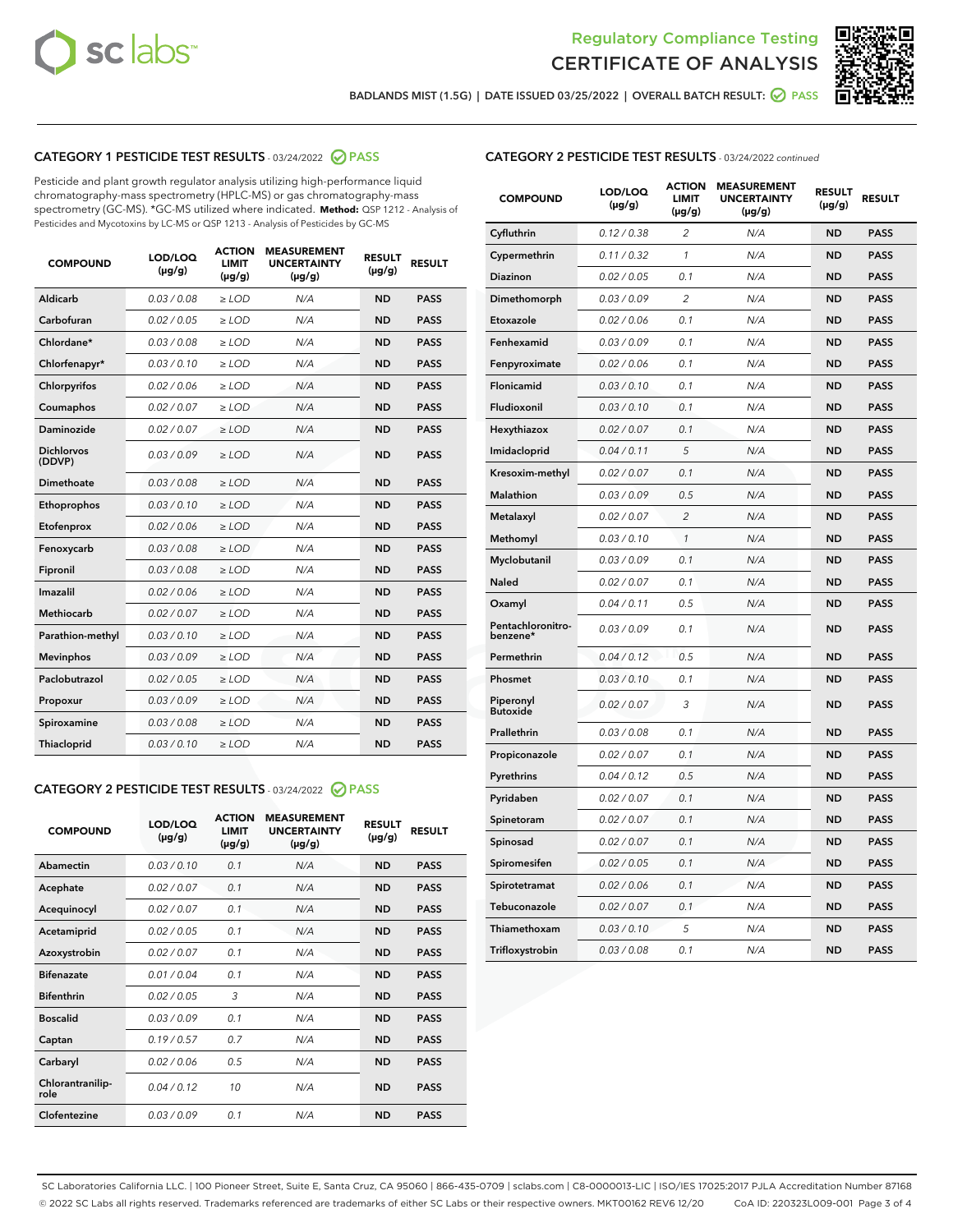



BADLANDS MIST (1.5G) | DATE ISSUED 03/25/2022 | OVERALL BATCH RESULT: @ PASS

# CATEGORY 1 PESTICIDE TEST RESULTS - 03/24/2022 2 PASS

Pesticide and plant growth regulator analysis utilizing high-performance liquid chromatography-mass spectrometry (HPLC-MS) or gas chromatography-mass spectrometry (GC-MS). \*GC-MS utilized where indicated. **Method:** QSP 1212 - Analysis of Pesticides and Mycotoxins by LC-MS or QSP 1213 - Analysis of Pesticides by GC-MS

| <b>COMPOUND</b>             | LOD/LOQ<br>$(\mu g/g)$ | <b>ACTION</b><br><b>LIMIT</b><br>$(\mu g/g)$ | <b>MEASUREMENT</b><br><b>UNCERTAINTY</b><br>$(\mu g/g)$ | <b>RESULT</b><br>$(\mu g/g)$ | <b>RESULT</b> |
|-----------------------------|------------------------|----------------------------------------------|---------------------------------------------------------|------------------------------|---------------|
| Aldicarb                    | 0.03 / 0.08            | $\ge$ LOD                                    | N/A                                                     | <b>ND</b>                    | <b>PASS</b>   |
| Carbofuran                  | 0.02 / 0.05            | $\ge$ LOD                                    | N/A                                                     | <b>ND</b>                    | <b>PASS</b>   |
| Chlordane*                  | 0.03 / 0.08            | $\geq$ LOD                                   | N/A                                                     | <b>ND</b>                    | <b>PASS</b>   |
| Chlorfenapyr*               | 0.03/0.10              | $\geq$ LOD                                   | N/A                                                     | <b>ND</b>                    | <b>PASS</b>   |
| Chlorpyrifos                | 0.02/0.06              | $>$ LOD                                      | N/A                                                     | <b>ND</b>                    | <b>PASS</b>   |
| Coumaphos                   | 0.02 / 0.07            | $\ge$ LOD                                    | N/A                                                     | <b>ND</b>                    | <b>PASS</b>   |
| Daminozide                  | 0.02 / 0.07            | $\ge$ LOD                                    | N/A                                                     | <b>ND</b>                    | <b>PASS</b>   |
| <b>Dichlorvos</b><br>(DDVP) | 0.03/0.09              | $>$ LOD                                      | N/A                                                     | <b>ND</b>                    | <b>PASS</b>   |
| <b>Dimethoate</b>           | 0.03 / 0.08            | $\ge$ LOD                                    | N/A                                                     | <b>ND</b>                    | <b>PASS</b>   |
| Ethoprophos                 | 0.03/0.10              | $\ge$ LOD                                    | N/A                                                     | <b>ND</b>                    | <b>PASS</b>   |
| Etofenprox                  | 0.02 / 0.06            | $\ge$ LOD                                    | N/A                                                     | <b>ND</b>                    | <b>PASS</b>   |
| Fenoxycarb                  | 0.03 / 0.08            | $>$ LOD                                      | N/A                                                     | <b>ND</b>                    | <b>PASS</b>   |
| Fipronil                    | 0.03 / 0.08            | $>$ LOD                                      | N/A                                                     | <b>ND</b>                    | <b>PASS</b>   |
| Imazalil                    | 0.02 / 0.06            | $>$ LOD                                      | N/A                                                     | <b>ND</b>                    | <b>PASS</b>   |
| <b>Methiocarb</b>           | 0.02 / 0.07            | $\ge$ LOD                                    | N/A                                                     | <b>ND</b>                    | <b>PASS</b>   |
| Parathion-methyl            | 0.03/0.10              | $\geq$ LOD                                   | N/A                                                     | <b>ND</b>                    | <b>PASS</b>   |
| <b>Mevinphos</b>            | 0.03/0.09              | $\ge$ LOD                                    | N/A                                                     | <b>ND</b>                    | <b>PASS</b>   |
| Paclobutrazol               | 0.02 / 0.05            | $\ge$ LOD                                    | N/A                                                     | <b>ND</b>                    | <b>PASS</b>   |
| Propoxur                    | 0.03/0.09              | $>$ LOD                                      | N/A                                                     | <b>ND</b>                    | <b>PASS</b>   |
| Spiroxamine                 | 0.03 / 0.08            | $>$ LOD                                      | N/A                                                     | <b>ND</b>                    | <b>PASS</b>   |
| Thiacloprid                 | 0.03/0.10              | $\geq$ LOD                                   | N/A                                                     | <b>ND</b>                    | <b>PASS</b>   |

# CATEGORY 2 PESTICIDE TEST RESULTS - 03/24/2022 2 PASS

| <b>COMPOUND</b>          | LOD/LOO<br>$(\mu g/g)$ | <b>ACTION</b><br><b>LIMIT</b><br>$(\mu g/g)$ | <b>MEASUREMENT</b><br><b>UNCERTAINTY</b><br>$(\mu g/g)$ | <b>RESULT</b><br>$(\mu g/g)$ | <b>RESULT</b> |  |
|--------------------------|------------------------|----------------------------------------------|---------------------------------------------------------|------------------------------|---------------|--|
| Abamectin                | 0.03/0.10              | 0.1                                          | N/A                                                     | <b>ND</b>                    | <b>PASS</b>   |  |
| Acephate                 | 0.02 / 0.07            | 0.1                                          | N/A                                                     | <b>ND</b>                    | <b>PASS</b>   |  |
| Acequinocyl              | 0.02/0.07              | 0.1                                          | N/A                                                     | <b>ND</b>                    | <b>PASS</b>   |  |
| Acetamiprid              | 0.02/0.05              | 0.1                                          | N/A                                                     | <b>ND</b>                    | <b>PASS</b>   |  |
| Azoxystrobin             | 0.02 / 0.07            | 0.1                                          | N/A                                                     | <b>ND</b>                    | <b>PASS</b>   |  |
| <b>Bifenazate</b>        | 0.01/0.04              | 0.1                                          | N/A                                                     | <b>ND</b>                    | <b>PASS</b>   |  |
| <b>Bifenthrin</b>        | 0.02/0.05              | 3                                            | N/A                                                     | <b>ND</b>                    | <b>PASS</b>   |  |
| <b>Boscalid</b>          | 0.03/0.09              | 0.1                                          | N/A                                                     | <b>ND</b>                    | <b>PASS</b>   |  |
| Captan                   | 0.19/0.57              | 0.7                                          | N/A                                                     | <b>ND</b>                    | <b>PASS</b>   |  |
| Carbaryl                 | 0.02/0.06              | 0.5                                          | N/A                                                     | <b>ND</b>                    | <b>PASS</b>   |  |
| Chlorantranilip-<br>role | 0.04/0.12              | 10                                           | N/A                                                     | <b>ND</b>                    | <b>PASS</b>   |  |
| Clofentezine             | 0.03/0.09              | 0.1                                          | N/A                                                     | <b>ND</b>                    | <b>PASS</b>   |  |

## CATEGORY 2 PESTICIDE TEST RESULTS - 03/24/2022 continued

| <b>COMPOUND</b>               | LOD/LOQ<br>(µg/g) | <b>ACTION</b><br><b>LIMIT</b><br>(µg/g) | <b>MEASUREMENT</b><br><b>UNCERTAINTY</b><br>$(\mu g/g)$ | <b>RESULT</b><br>(µg/g) | <b>RESULT</b> |
|-------------------------------|-------------------|-----------------------------------------|---------------------------------------------------------|-------------------------|---------------|
| Cyfluthrin                    | 0.12 / 0.38       | $\overline{c}$                          | N/A                                                     | <b>ND</b>               | <b>PASS</b>   |
| Cypermethrin                  | 0.11 / 0.32       | 1                                       | N/A                                                     | <b>ND</b>               | <b>PASS</b>   |
| <b>Diazinon</b>               | 0.02 / 0.05       | 0.1                                     | N/A                                                     | <b>ND</b>               | <b>PASS</b>   |
| Dimethomorph                  | 0.03 / 0.09       | $\overline{2}$                          | N/A                                                     | <b>ND</b>               | <b>PASS</b>   |
| Etoxazole                     | 0.02 / 0.06       | 0.1                                     | N/A                                                     | <b>ND</b>               | <b>PASS</b>   |
| Fenhexamid                    | 0.03 / 0.09       | 0.1                                     | N/A                                                     | <b>ND</b>               | <b>PASS</b>   |
| Fenpyroximate                 | 0.02 / 0.06       | 0.1                                     | N/A                                                     | <b>ND</b>               | <b>PASS</b>   |
| Flonicamid                    | 0.03 / 0.10       | 0.1                                     | N/A                                                     | <b>ND</b>               | <b>PASS</b>   |
| Fludioxonil                   | 0.03 / 0.10       | 0.1                                     | N/A                                                     | <b>ND</b>               | <b>PASS</b>   |
| Hexythiazox                   | 0.02 / 0.07       | 0.1                                     | N/A                                                     | <b>ND</b>               | <b>PASS</b>   |
| Imidacloprid                  | 0.04 / 0.11       | 5                                       | N/A                                                     | <b>ND</b>               | <b>PASS</b>   |
| Kresoxim-methyl               | 0.02 / 0.07       | 0.1                                     | N/A                                                     | <b>ND</b>               | <b>PASS</b>   |
| Malathion                     | 0.03 / 0.09       | 0.5                                     | N/A                                                     | <b>ND</b>               | <b>PASS</b>   |
| Metalaxyl                     | 0.02 / 0.07       | $\overline{c}$                          | N/A                                                     | <b>ND</b>               | <b>PASS</b>   |
| Methomyl                      | 0.03 / 0.10       | 1                                       | N/A                                                     | <b>ND</b>               | <b>PASS</b>   |
| Myclobutanil                  | 0.03 / 0.09       | 0.1                                     | N/A                                                     | <b>ND</b>               | <b>PASS</b>   |
| Naled                         | 0.02 / 0.07       | 0.1                                     | N/A                                                     | <b>ND</b>               | <b>PASS</b>   |
| Oxamyl                        | 0.04 / 0.11       | 0.5                                     | N/A                                                     | ND                      | <b>PASS</b>   |
| Pentachloronitro-<br>benzene* | 0.03 / 0.09       | 0.1                                     | N/A                                                     | <b>ND</b>               | <b>PASS</b>   |
| Permethrin                    | 0.04 / 0.12       | 0.5                                     | N/A                                                     | <b>ND</b>               | <b>PASS</b>   |
| Phosmet                       | 0.03 / 0.10       | 0.1                                     | N/A                                                     | <b>ND</b>               | <b>PASS</b>   |
| Piperonyl<br><b>Butoxide</b>  | 0.02 / 0.07       | 3                                       | N/A                                                     | <b>ND</b>               | <b>PASS</b>   |
| Prallethrin                   | 0.03 / 0.08       | 0.1                                     | N/A                                                     | <b>ND</b>               | <b>PASS</b>   |
| Propiconazole                 | 0.02 / 0.07       | 0.1                                     | N/A                                                     | <b>ND</b>               | <b>PASS</b>   |
| Pyrethrins                    | 0.04 / 0.12       | 0.5                                     | N/A                                                     | <b>ND</b>               | <b>PASS</b>   |
| Pyridaben                     | 0.02 / 0.07       | 0.1                                     | N/A                                                     | <b>ND</b>               | <b>PASS</b>   |
| Spinetoram                    | 0.02 / 0.07       | 0.1                                     | N/A                                                     | <b>ND</b>               | <b>PASS</b>   |
| Spinosad                      | 0.02 / 0.07       | 0.1                                     | N/A                                                     | <b>ND</b>               | <b>PASS</b>   |
| Spiromesifen                  | 0.02 / 0.05       | 0.1                                     | N/A                                                     | <b>ND</b>               | <b>PASS</b>   |
| Spirotetramat                 | 0.02 / 0.06       | 0.1                                     | N/A                                                     | <b>ND</b>               | <b>PASS</b>   |
| Tebuconazole                  | 0.02 / 0.07       | 0.1                                     | N/A                                                     | <b>ND</b>               | <b>PASS</b>   |
| Thiamethoxam                  | 0.03 / 0.10       | 5                                       | N/A                                                     | <b>ND</b>               | <b>PASS</b>   |
| Trifloxystrobin               | 0.03 / 0.08       | 0.1                                     | N/A                                                     | <b>ND</b>               | <b>PASS</b>   |

SC Laboratories California LLC. | 100 Pioneer Street, Suite E, Santa Cruz, CA 95060 | 866-435-0709 | sclabs.com | C8-0000013-LIC | ISO/IES 17025:2017 PJLA Accreditation Number 87168 © 2022 SC Labs all rights reserved. Trademarks referenced are trademarks of either SC Labs or their respective owners. MKT00162 REV6 12/20 CoA ID: 220323L009-001 Page 3 of 4